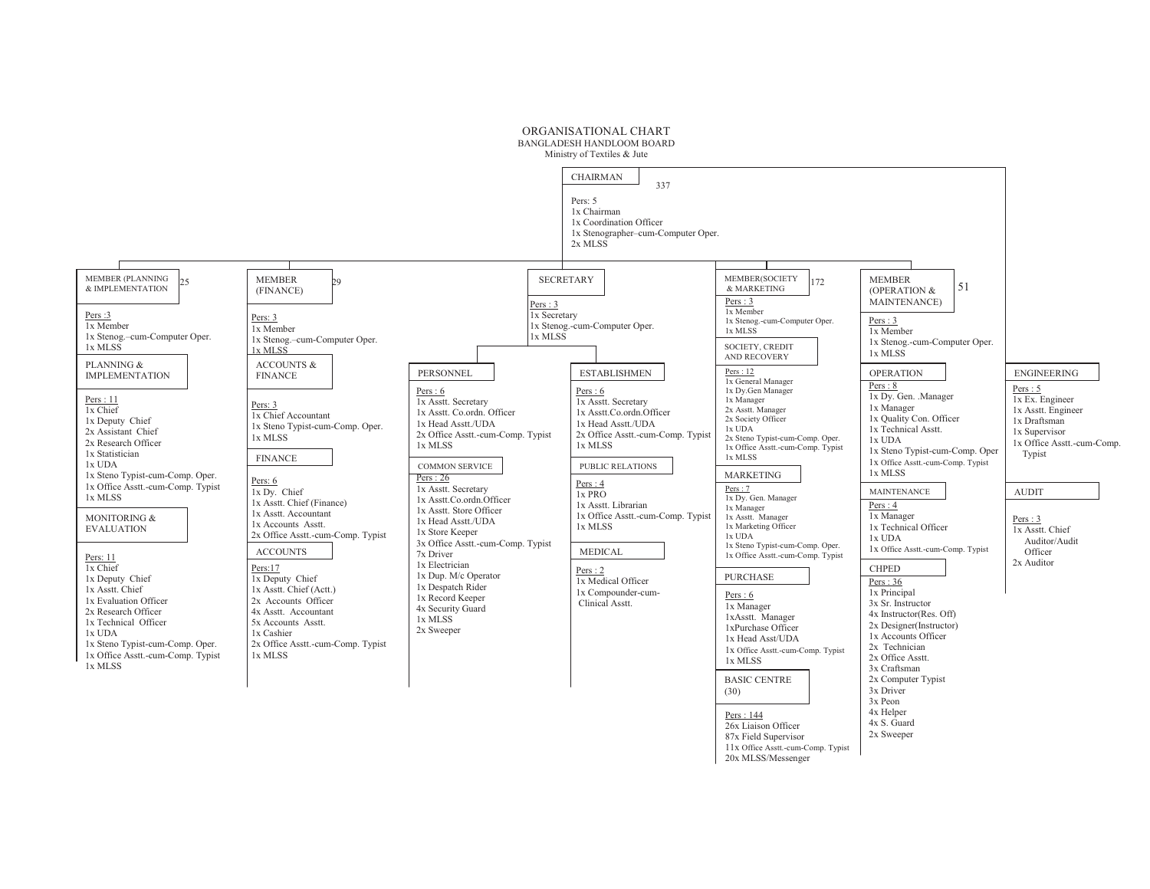